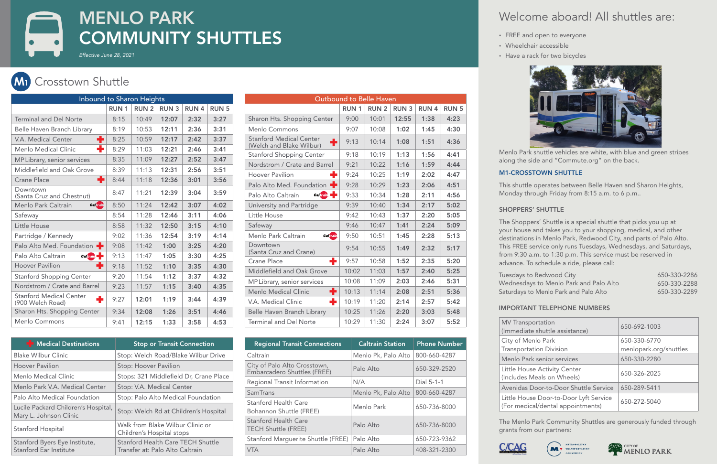| <b>Outbound to Belle Haven</b> |             |             |             |             |
|--------------------------------|-------------|-------------|-------------|-------------|
| <b>RUN1</b>                    | <b>RUN2</b> | <b>RUN3</b> | <b>RUN4</b> | <b>RUN5</b> |
| 9:00                           | 10:01       | 12:55       | 1:38        | 4:23        |
| 9:07                           | 10:08       | 1:02        | 1:45        | 4:30        |
| 9:13                           | 10:14       | 1:08        | 1:51        | 4:36        |
| 9:18                           | 10:19       | 1:13        | 1:56        | 4:41        |
| 9:21                           | 10:22       | 1:16        | 1:59        | 4:44        |
| 9:24                           | 10:25       | 1:19        | 2:02        | 4:47        |
| 9:28                           | 10:29       | 1:23        | 2:06        | 4:51        |
| 9:33                           | 10:34       | 1:28        | 2:11        | 4:56        |
| 9:39                           | 10:40       | 1:34        | 2:17        | 5:02        |
| 9:42                           | 10:43       | 1:37        | 2:20        | 5:05        |
| 9:46                           | 10:47       | 1:41        | 2:24        | 5:09        |
| 9:50                           | 10:51       | 1:45        | 2:28        | 5:13        |
| 9:54                           | 10:55       | 1:49        | 2:32        | 5:17        |
| 9:57                           | 10:58       | 1:52        | 2:35        | 5:20        |
| 10:02                          | 11:03       | 1:57        | 2:40        | 5:25        |
| 10:08                          | 11:09       | 2:03        | 2:46        | 5:31        |
| 10:13                          | 11:14       | 2:08        | 2:51        | 5:36        |
| 10:19                          | 11:20       | 2:14        | 2:57        | 5:42        |
| 10:25                          | 11:26       | 2:20        | 3:03        | 5:48        |
| 10:29                          | 11:30       | 2:24        | 3:07        | 5:52        |
|                                |             |             |             |             |

| <b>Inbound to Sharon Heights</b>                         |             |             |             |             |              |
|----------------------------------------------------------|-------------|-------------|-------------|-------------|--------------|
|                                                          | <b>RUN1</b> | <b>RUN2</b> | <b>RUN3</b> | <b>RUN4</b> | <b>RUN 5</b> |
| <b>Terminal and Del Norte</b>                            | 8:15        | 10:49       | 12:07       | 2:32        | 3:27         |
| Belle Haven Branch Library                               | 8:19        | 10:53       | 12:11       | 2:36        | 3:31         |
| ÷<br>V.A. Medical Center                                 | 8:25        | 10:59       | 12:17       | 2:42        | 3:37         |
| ٠<br>Menlo Medical Clinic                                | 8:29        | 11:03       | 12:21       | 2:46        | 3:41         |
| MP Library, senior services                              | 8:35        | 11:09       | 12:27       | 2:52        | 3:47         |
| Middlefield and Oak Grove                                | 8:39        | 11:13       | 12:31       | 2:56        | 3:51         |
| ÷<br><b>Crane Place</b>                                  | 8:44        | 11:18       | 12:36       | 3:01        | 3:56         |
| Downtown<br>(Santa Cruz and Chestnut)                    | 8:47        | 11:21       | 12:39       | 3:04        | 3:59         |
| <b>Caltrain</b><br>Menlo Park Caltrain                   | 8:50        | 11:24       | 12:42       | 3:07        | 4:02         |
| Safeway                                                  | 8:54        | 11:28       | 12:46       | 3:11        | 4:06         |
| Little House                                             | 8:58        | 11:32       | 12:50       | 3:15        | 4:10         |
| Partridge / Kennedy                                      | 9:02        | 11:36       | 12:54       | 3:19        | 4:14         |
| Palo Alto Med. Foundation                                | 9:08        | 11:42       | 1:00        | 3:25        | 4:20         |
| Palo Alto Caltrain<br>Caltrain <b>-</b>                  | 9:13        | 11:47       | 1:05        | 3:30        | 4:25         |
| ٠<br><b>Hoover Pavilion</b>                              | 9:18        | 11:52       | 1:10        | 3:35        | 4:30         |
| <b>Stanford Shopping Center</b>                          | 9:20        | 11:54       | 1:12        | 3:37        | 4:32         |
| Nordstrom / Crate and Barrel                             | 9:23        | 11:57       | 1:15        | 3:40        | 4:35         |
| <b>Stanford Medical Center</b><br>÷.<br>(900 Welch Road) | 9:27        | 12:01       | 1:19        | 3:44        | 4:39         |
| Sharon Hts. Shopping Center                              | 9:34        | 12:08       | 1:26        | 3:51        | 4:46         |
| Menlo Commons                                            | 9:41        | 12:15       | 1:33        | 3:58        | 4:53         |

## Welcome aboard! All shuttles are:

• FREE and open to everyone

- Wheelchair accessible
- Have a rack for two bicycles



# *Effective June 28, 2021* MENLO PARK COMMUNITY SHUTTLES

| to Redwood City                 | 650-330-2286 |
|---------------------------------|--------------|
| ays to Menlo Park and Palo Alto | 650-330-2288 |
| to Menlo Park and Palo Alto     | 650-330-2289 |

**MM1<sup>1</sup>** Crosstown Shuttle **M2 M3 M4**

| <b>F</b> Medical Destinations                                 | <b>Stop or Transit Connection</b>                                           |
|---------------------------------------------------------------|-----------------------------------------------------------------------------|
| <b>Blake Wilbur Clinic</b>                                    | Stop: Welch Road/Blake Wilbur Drive                                         |
| <b>Hoover Pavilion</b>                                        | Stop: Hoover Pavilion                                                       |
| Menlo Medical Clinic                                          | Stops: 321 Middlefield Dr, Crane Place                                      |
| Menlo Park V.A. Medical Center                                | Stop: V.A. Medical Center                                                   |
| Palo Alto Medical Foundation                                  | Stop: Palo Alto Medical Foundation                                          |
| Lucile Packard Children's Hospital,<br>Mary L. Johnson Clinic | Stop: Welch Rd at Children's Hospital                                       |
| Stanford Hospital                                             | Walk from Blake Wilbur Clinic or<br>Children's Hospital stops               |
| Stanford Byers Eye Institute,<br>Stanford Ear Institute       | <b>Stanford Health Care TECH Shuttle</b><br>Transfer at: Palo Alto Caltrain |

| <b>MV Transportation</b><br>(Immediate shuttle assistance)                  | 650-692-1003                           |
|-----------------------------------------------------------------------------|----------------------------------------|
| City of Menlo Park<br><b>Transportation Division</b>                        | 650-330-6770<br>menlopark.org/shuttles |
| Menlo Park senior services                                                  | 650-330-2280                           |
| Little House Activity Center<br>(Includes Meals on Wheels)                  | 650-326-2025                           |
| Avenidas Door-to-Door Shuttle Service                                       | 650-289-5411                           |
| Little House Door-to-Door Lyft Service<br>(For medical/dental appointments) | 650-272-5040                           |







### IMPORTANT TELEPHONE NUMBERS

 $\vert$  MV Trans City of M Transport Menlo Pa Little Ho **Avenidas** Little Ho

The Menlo Park Community Shuttles are generously funded through grants from our partners:



| <b>Regional Transit Connections</b>                         | <b>Caltrain Station</b> | <b>Phone Number</b> |
|-------------------------------------------------------------|-------------------------|---------------------|
| Caltrain                                                    | Menlo Pk, Palo Alto     | 800-660-4287        |
| City of Palo Alto Crosstown,<br>Embarcadero Shuttles (FREE) | Palo Alto               | 650-329-2520        |
| Regional Transit Information                                | N/A                     | Dial 5-1-1          |
| <b>SamTrans</b>                                             | Menlo Pk, Palo Alto     | 800-660-4287        |
| <b>Stanford Health Care</b><br>Bohannon Shuttle (FREE)      | Menlo Park              | 650-736-8000        |
| <b>Stanford Health Care</b><br><b>TECH Shuttle (FREE)</b>   | Palo Alto               | 650-736-8000        |
| <b>Stanford Marguerite Shuttle (FREE)</b>                   | Palo Alto               | 650-723-9362        |
| <b>VTA</b>                                                  | Palo Alto               | 408-321-2300        |

- 
- 
- 

Menlo Park shuttle vehicles are white, with blue and green stripes along the side and "Commute.org" on the back.

### M1-CROSSTOWN SHUTTLE

This shuttle operates between Belle Haven and Sharon Heights, Monday through Friday from 8:15 a.m. to 6 p.m..

### SHOPPERS' SHUTTLE

Tuesdays Wednesda Saturdays

The Shoppers' Shuttle is a special shuttle that picks you up at your house and takes you to your shopping, medical, and other destinations in Menlo Park, Redwood City, and parts of Palo Alto. This FREE service only runs Tuesdays, Wednesdays, and Saturdays, from 9:30 a.m. to 1:30 p.m. This service must be reserved in advance. To schedule a ride, please call: